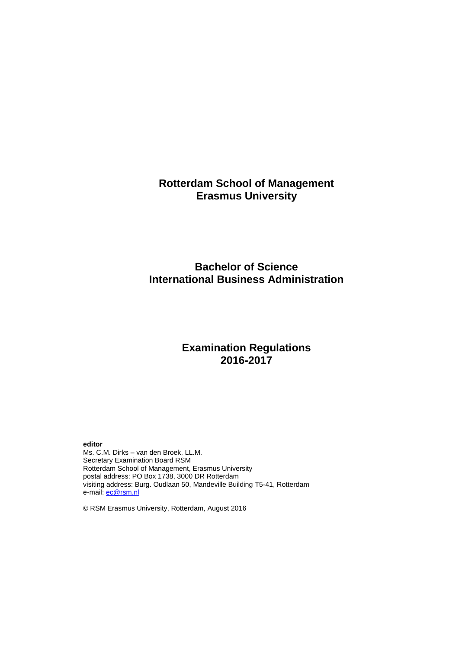## **Rotterdam School of Management Erasmus University**

## **Bachelor of Science International Business Administration**

## **Examination Regulations 2016-2017**

#### **editor**

Ms. C.M. Dirks – van den Broek, LL.M. Secretary Examination Board RSM Rotterdam School of Management, Erasmus University postal address: PO Box 1738, 3000 DR Rotterdam visiting address: Burg. Oudlaan 50, Mandeville Building T5-41, Rotterdam e-mail: **ec@rsm.nl** 

© RSM Erasmus University, Rotterdam, August 2016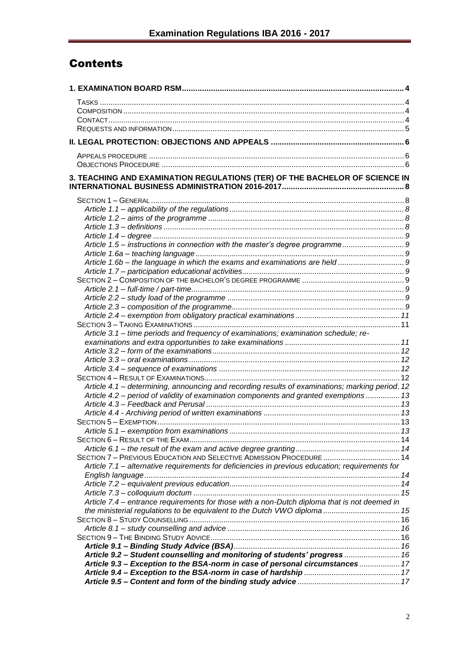# **Contents**

| 3. TEACHING AND EXAMINATION REGULATIONS (TER) OF THE BACHELOR OF SCIENCE IN                     |  |
|-------------------------------------------------------------------------------------------------|--|
|                                                                                                 |  |
|                                                                                                 |  |
|                                                                                                 |  |
|                                                                                                 |  |
|                                                                                                 |  |
|                                                                                                 |  |
| Article 1.5 - instructions in connection with the master's degree programme9                    |  |
|                                                                                                 |  |
|                                                                                                 |  |
|                                                                                                 |  |
|                                                                                                 |  |
|                                                                                                 |  |
|                                                                                                 |  |
|                                                                                                 |  |
|                                                                                                 |  |
|                                                                                                 |  |
| Article 3.1 - time periods and frequency of examinations; examination schedule; re-             |  |
|                                                                                                 |  |
|                                                                                                 |  |
|                                                                                                 |  |
|                                                                                                 |  |
|                                                                                                 |  |
| Article 4.1 – determining, announcing and recording results of examinations; marking period. 12 |  |
| Article 4.2 – period of validity of examination components and granted exemptions  13           |  |
|                                                                                                 |  |
|                                                                                                 |  |
|                                                                                                 |  |
|                                                                                                 |  |
|                                                                                                 |  |
|                                                                                                 |  |
| SECTION 7 - PREVIOUS EDUCATION AND SELECTIVE ADMISSION PROCEDURE  14                            |  |
| Article 7.1 – alternative requirements for deficiencies in previous education; requirements for |  |
|                                                                                                 |  |
|                                                                                                 |  |
|                                                                                                 |  |
| Article 7.4 – entrance requirements for those with a non-Dutch diploma that is not deemed in    |  |
| the ministerial regulations to be equivalent to the Dutch VWO diploma  15                       |  |
|                                                                                                 |  |
|                                                                                                 |  |
|                                                                                                 |  |
|                                                                                                 |  |
| Article 9.2 - Student counselling and monitoring of students' progress  16                      |  |
| Article 9.3 – Exception to the BSA-norm in case of personal circumstances  17                   |  |
|                                                                                                 |  |
|                                                                                                 |  |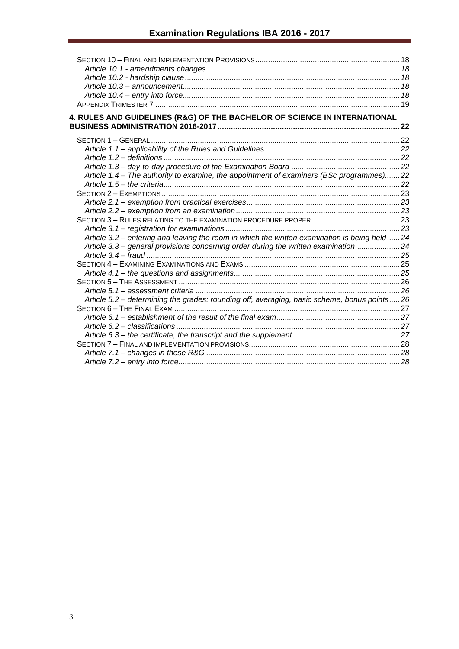| 4. RULES AND GUIDELINES (R&G) OF THE BACHELOR OF SCIENCE IN INTERNATIONAL                    |  |
|----------------------------------------------------------------------------------------------|--|
|                                                                                              |  |
|                                                                                              |  |
|                                                                                              |  |
|                                                                                              |  |
|                                                                                              |  |
|                                                                                              |  |
| Article 1.4 - The authority to examine, the appointment of examiners (BSc programmes)22      |  |
|                                                                                              |  |
|                                                                                              |  |
|                                                                                              |  |
|                                                                                              |  |
|                                                                                              |  |
| Article 3.2 - entering and leaving the room in which the written examination is being held24 |  |
| Article 3.3 - general provisions concerning order during the written examination24           |  |
|                                                                                              |  |
|                                                                                              |  |
|                                                                                              |  |
|                                                                                              |  |
|                                                                                              |  |
| Article 5.2 - determining the grades: rounding off, averaging, basic scheme, bonus points26  |  |
|                                                                                              |  |
|                                                                                              |  |
|                                                                                              |  |
|                                                                                              |  |
|                                                                                              |  |
|                                                                                              |  |
|                                                                                              |  |
|                                                                                              |  |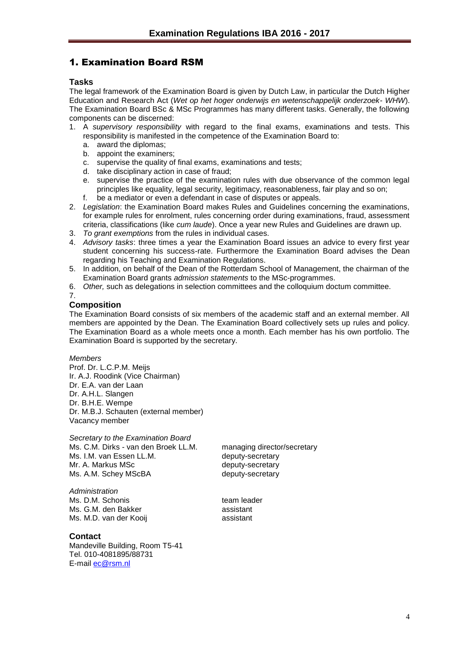## <span id="page-3-0"></span>1. Examination Board RSM

#### <span id="page-3-1"></span>**Tasks**

The legal framework of the Examination Board is given by Dutch Law, in particular the Dutch Higher Education and Research Act (*Wet op het hoger onderwijs en wetenschappelijk onderzoek- WHW*). The Examination Board BSc & MSc Programmes has many different tasks. Generally, the following components can be discerned:

- 1. A *supervisory responsibility* with regard to the final exams, examinations and tests. This responsibility is manifested in the competence of the Examination Board to:
	- a. award the diplomas;
	- b. appoint the examiners;
	- c. supervise the quality of final exams, examinations and tests;
	- d. take disciplinary action in case of fraud;
	- e. supervise the practice of the examination rules with due observance of the common legal principles like equality, legal security, legitimacy, reasonableness, fair play and so on;
	- f. be a mediator or even a defendant in case of disputes or appeals.
- 2. *Legislation*: the Examination Board makes Rules and Guidelines concerning the examinations, for example rules for enrolment, rules concerning order during examinations, fraud, assessment criteria, classifications (like *cum laude*). Once a year new Rules and Guidelines are drawn up.
- 3. *To grant exemptions* from the rules in individual cases.
- 4. *Advisory tasks*: three times a year the Examination Board issues an advice to every first year student concerning his success-rate. Furthermore the Examination Board advises the Dean regarding his Teaching and Examination Regulations.
- 5. In addition, on behalf of the Dean of the Rotterdam School of Management, the chairman of the Examination Board grants *admission statements* to the MSc-programmes.
- 6. *Other,* such as delegations in selection committees and the colloquium doctum committee.

7.

## <span id="page-3-2"></span>**Composition**

The Examination Board consists of six members of the academic staff and an external member. All members are appointed by the Dean. The Examination Board collectively sets up rules and policy. The Examination Board as a whole meets once a month. Each member has his own portfolio. The Examination Board is supported by the secretary.

*Members*

Prof. Dr. L.C.P.M. Meijs Ir. A.J. Roodink (Vice Chairman) Dr. E.A. van der Laan Dr. A.H.L. Slangen Dr. B.H.E. Wempe Dr. M.B.J. Schauten (external member) Vacancy member

*Secretary to the Examination Board* Ms. C.M. Dirks - van den Broek LL.M. managing director/secretary Ms. I.M. van Essen LL.M. deputy-secretary Mr. A. Markus MSc deputy-secretary Ms. A.M. Schey MScBA deputy-secretary

*Administration* Ms. D.M. Schonis team leader Ms. G.M. den Bakker assistant Ms. M.D. van der Kooij assistant

#### <span id="page-3-3"></span>**Contact**

Mandeville Building, Room T5-41 Tel. 010-4081895/88731 E-mail [ec@rsm.nl](mailto:ec@rsm.nl)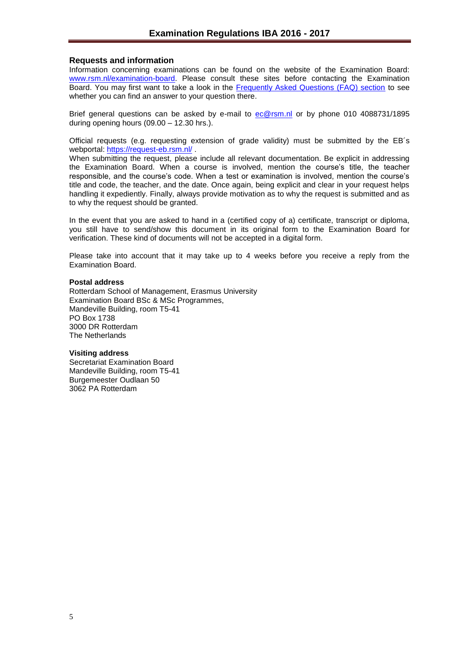#### <span id="page-4-0"></span>**Requests and information**

Information concerning examinations can be found on the website of the Examination Board: [www.rsm.nl/examination-board.](http://www.rsm.nl/examination-board) Please consult these sites before contacting the Examination Board. You may first want to take a look in the [Frequently Asked Questions \(FAQ\) section](http://www.rsm.nl/examination-board/frequently-asked-questions-faqs/) to see whether you can find an answer to your question there.

Brief general questions can be asked by e-mail to [ec@rsm.nl](mailto:ec@rsm.nl) or by phone 010 4088731/1895 during opening hours (09.00 – 12.30 hrs.).

Official requests (e.g. requesting extension of grade validity) must be submitted by the EB´s webportal:<https://request-eb.rsm.nl/>

When submitting the request, please include all relevant documentation. Be explicit in addressing the Examination Board. When a course is involved, mention the course's title, the teacher responsible, and the course's code. When a test or examination is involved, mention the course's title and code, the teacher, and the date. Once again, being explicit and clear in your request helps handling it expediently. Finally, always provide motivation as to why the request is submitted and as to why the request should be granted.

In the event that you are asked to hand in a (certified copy of a) certificate, transcript or diploma, you still have to send/show this document in its original form to the Examination Board for verification. These kind of documents will not be accepted in a digital form.

Please take into account that it may take up to 4 weeks before you receive a reply from the Examination Board.

#### **Postal address**

Rotterdam School of Management, Erasmus University Examination Board BSc & MSc Programmes, Mandeville Building, room T5-41 PO Box 1738 3000 DR Rotterdam The Netherlands

#### **Visiting address**

Secretariat Examination Board Mandeville Building, room T5-41 Burgemeester Oudlaan 50 3062 PA Rotterdam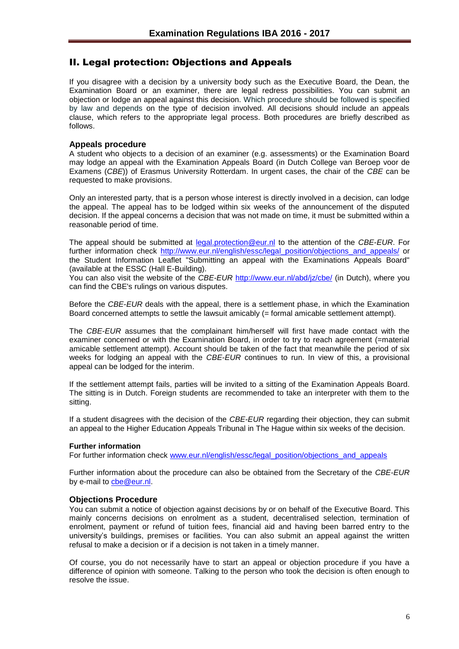## <span id="page-5-0"></span>II. Legal protection: Objections and Appeals

If you disagree with a decision by a university body such as the Executive Board, the Dean, the Examination Board or an examiner, there are legal redress possibilities. You can submit an objection or lodge an appeal against this decision. Which procedure should be followed is specified by law and depends on the type of decision involved. All decisions should include an appeals clause, which refers to the appropriate legal process. Both procedures are briefly described as follows.

#### <span id="page-5-1"></span>**Appeals procedure**

A student who objects to a decision of an examiner (e.g. assessments) or the Examination Board may lodge an appeal with the Examination Appeals Board (in Dutch College van Beroep voor de Examens (*CBE*)) of Erasmus University Rotterdam. In urgent cases, the chair of the *CBE* can be requested to make provisions.

Only an interested party, that is a person whose interest is directly involved in a decision, can lodge the appeal. The appeal has to be lodged within six weeks of the announcement of the disputed decision. If the appeal concerns a decision that was not made on time, it must be submitted within a reasonable period of time.

The appeal should be submitted at [legal.protection@eur.nl](mailto:legal.protection@eur.nl) to the attention of the *CBE*-*EUR*. For further information check [http://www.eur.nl/english/essc/legal\\_position/objections\\_and\\_appeals/](http://www.eur.nl/english/essc/legal_position/objections_and_appeals/) or the Student Information Leaflet "Submitting an appeal with the Examinations Appeals Board" (available at the ESSC (Hall E-Building).

You can also visit the website of the *CBE-EUR* <http://www.eur.nl/abd/jz/cbe/> (in Dutch), where you can find the CBE's rulings on various disputes.

Before the *CBE*-*EUR* deals with the appeal, there is a settlement phase, in which the Examination Board concerned attempts to settle the lawsuit amicably (= formal amicable settlement attempt).

The *CBE*-*EUR* assumes that the complainant him/herself will first have made contact with the examiner concerned or with the Examination Board, in order to try to reach agreement (=material amicable settlement attempt). Account should be taken of the fact that meanwhile the period of six weeks for lodging an appeal with the *CBE*-*EUR* continues to run. In view of this, a provisional appeal can be lodged for the interim.

If the settlement attempt fails, parties will be invited to a sitting of the Examination Appeals Board. The sitting is in Dutch. Foreign students are recommended to take an interpreter with them to the sitting.

If a student disagrees with the decision of the *CBE-EUR* regarding their objection, they can submit an appeal to the Higher Education Appeals Tribunal in The Hague within six weeks of the decision.

#### **Further information**

For further information check [www.eur.nl/english/essc/legal\\_position/objections\\_and\\_appeals](http://www.eur.nl/english/essc/legal_position/objections_and_appeals)

Further information about the procedure can also be obtained from the Secretary of the *CBE-EUR* by e-mail to [cbe@eur.nl.](mailto:cbe@eur.nl)

#### <span id="page-5-2"></span>**Objections Procedure**

You can submit a notice of objection against decisions by or on behalf of the Executive Board. This mainly concerns decisions on enrolment as a student, decentralised selection, termination of enrolment, payment or refund of tuition fees, financial aid and having been barred entry to the university's buildings, premises or facilities. You can also submit an appeal against the written refusal to make a decision or if a decision is not taken in a timely manner.

Of course, you do not necessarily have to start an appeal or objection procedure if you have a difference of opinion with someone. Talking to the person who took the decision is often enough to resolve the issue.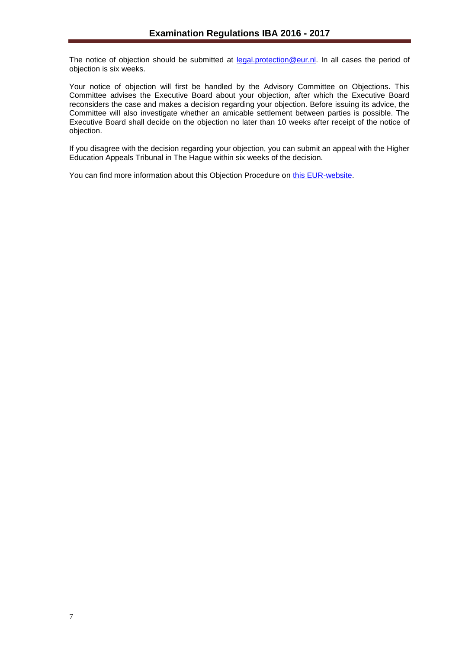The notice of objection should be submitted at [legal.protection@eur.nl.](mailto:legal.protection@eur.nl) In all cases the period of objection is six weeks.

Your notice of objection will first be handled by the Advisory Committee on Objections. This Committee advises the Executive Board about your objection, after which the Executive Board reconsiders the case and makes a decision regarding your objection. Before issuing its advice, the Committee will also investigate whether an amicable settlement between parties is possible. The Executive Board shall decide on the objection no later than 10 weeks after receipt of the notice of objection.

If you disagree with the decision regarding your objection, you can submit an appeal with the Higher Education Appeals Tribunal in The Hague within six weeks of the decision.

You can find more information about this Objection Procedure on [this EUR-website.](http://www.eur.nl/english/essc/legal_position/objections_and_appeals/)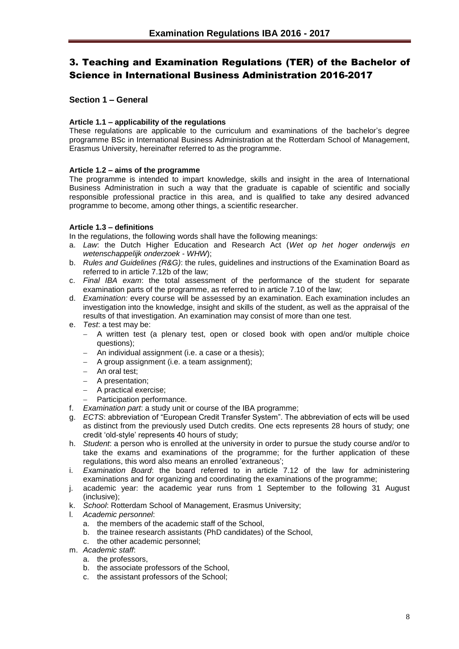## <span id="page-7-0"></span>3. Teaching and Examination Regulations (TER) of the Bachelor of Science in International Business Administration 2016-2017

#### <span id="page-7-1"></span>**Section 1 – General**

#### <span id="page-7-2"></span>**Article 1.1 – applicability of the regulations**

These regulations are applicable to the curriculum and examinations of the bachelor's degree programme BSc in International Business Administration at the Rotterdam School of Management, Erasmus University, hereinafter referred to as the programme.

#### <span id="page-7-3"></span>**Article 1.2 – aims of the programme**

The programme is intended to impart knowledge, skills and insight in the area of International Business Administration in such a way that the graduate is capable of scientific and socially responsible professional practice in this area, and is qualified to take any desired advanced programme to become, among other things, a scientific researcher.

#### <span id="page-7-4"></span>**Article 1.3 – definitions**

In the regulations, the following words shall have the following meanings:

- a. *Law*: the Dutch Higher Education and Research Act (*Wet op het hoger onderwijs en wetenschappelijk onderzoek* - *WHW*);
- b. *Rules and Guidelines (R&G)*: the rules, guidelines and instructions of the Examination Board as referred to in article 7.12b of the law;
- c. *Final IBA exam*: the total assessment of the performance of the student for separate examination parts of the programme, as referred to in article 7.10 of the law;
- d. *Examination:* every course will be assessed by an examination. Each examination includes an investigation into the knowledge, insight and skills of the student, as well as the appraisal of the results of that investigation. An examination may consist of more than one test.
- e. *Test*: a test may be:
	- A written test (a plenary test, open or closed book with open and/or multiple choice questions);
	- An individual assignment (i.e. a case or a thesis);
	- A group assignment (i.e. a team assignment);
	- An oral test;
	- A presentation:
	- A practical exercise;
	- Participation performance.
- f. *Examination part*: a study unit or course of the IBA programme;
- g. *ECTS*: abbreviation of "European Credit Transfer System". The abbreviation of ects will be used as distinct from the previously used Dutch credits. One ects represents 28 hours of study; one credit 'old-style' represents 40 hours of study;
- h. *Student*: a person who is enrolled at the university in order to pursue the study course and/or to take the exams and examinations of the programme; for the further application of these regulations, this word also means an enrolled 'extraneous';
- i. *Examination Board*: the board referred to in article 7.12 of the law for administering examinations and for organizing and coordinating the examinations of the programme;
- j. academic year: the academic year runs from 1 September to the following 31 August (inclusive);
- k. *School*: Rotterdam School of Management, Erasmus University;
- l. *Academic personnel*:
	- a. the members of the academic staff of the School,
	- b. the trainee research assistants (PhD candidates) of the School,
	- c. the other academic personnel;
- m. *Academic staff*:
	- a. the professors,
	- b. the associate professors of the School,
	- c. the assistant professors of the School;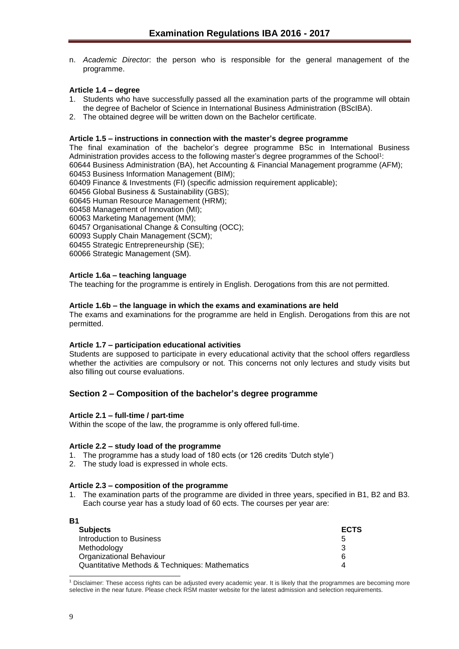n. *Academic Director*: the person who is responsible for the general management of the programme.

#### <span id="page-8-0"></span>**Article 1.4 – degree**

- 1. Students who have successfully passed all the examination parts of the programme will obtain the degree of Bachelor of Science in International Business Administration (BScIBA).
- 2. The obtained degree will be written down on the Bachelor certificate.

#### <span id="page-8-1"></span>**Article 1.5 – instructions in connection with the master's degree programme**

The final examination of the bachelor's degree programme BSc in International Business Administration provides access to the following master's degree programmes of the School<sup>1</sup>: 60644 Business Administration (BA), het Accounting & Financial Management programme (AFM);

60453 Business Information Management (BIM);

60409 Finance & Investments (FI) (specific admission requirement applicable);

60456 Global Business & Sustainability (GBS);

60645 Human Resource Management (HRM);

60458 Management of Innovation (MI);

60063 Marketing Management (MM);

60457 Organisational Change & Consulting (OCC);

60093 Supply Chain Management (SCM);

60455 Strategic Entrepreneurship (SE);

60066 Strategic Management (SM).

#### <span id="page-8-2"></span>**Article 1.6a – teaching language**

The teaching for the programme is entirely in English. Derogations from this are not permitted.

#### <span id="page-8-3"></span>**Article 1.6b – the language in which the exams and examinations are held**

The exams and examinations for the programme are held in English. Derogations from this are not permitted.

#### <span id="page-8-4"></span>**Article 1.7 – participation educational activities**

Students are supposed to participate in every educational activity that the school offers regardless whether the activities are compulsory or not. This concerns not only lectures and study visits but also filling out course evaluations.

#### <span id="page-8-5"></span>**Section 2 – Composition of the bachelor's degree programme**

#### <span id="page-8-6"></span>**Article 2.1 – full-time / part-time**

Within the scope of the law, the programme is only offered full-time.

#### <span id="page-8-7"></span>**Article 2.2 – study load of the programme**

- 1. The programme has a study load of 180 ects (or 126 credits 'Dutch style')
- 2. The study load is expressed in whole ects.

#### <span id="page-8-8"></span>**Article 2.3 – composition of the programme**

1. The examination parts of the programme are divided in three years, specified in B1, B2 and B3. Each course year has a study load of 60 ects. The courses per year are:

| <b>B1</b>                                      |             |
|------------------------------------------------|-------------|
| <b>Subjects</b>                                | <b>ECTS</b> |
| Introduction to Business                       | b           |
| Methodology                                    |             |
| <b>Organizational Behaviour</b>                | 6           |
| Quantitative Methods & Techniques: Mathematics |             |

l <sup>1</sup> Disclaimer: These access rights can be adjusted every academic year. It is likely that the programmes are becoming more selective in the near future. Please check RSM master website for the latest admission and selection requirements.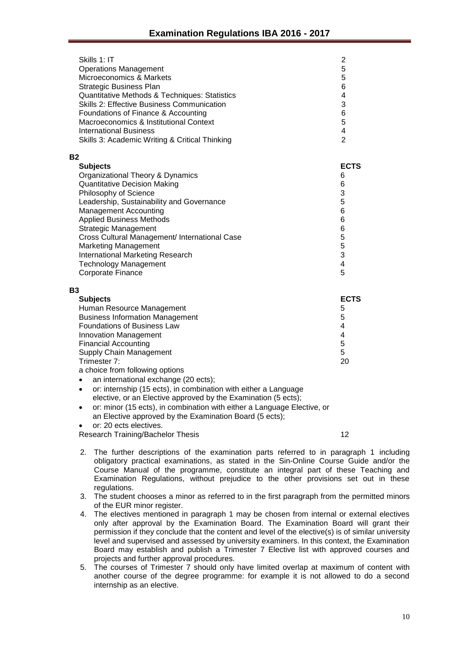| Skills 1: IT<br><b>Operations Management</b><br>Microeconomics & Markets<br><b>Strategic Business Plan</b><br>Quantitative Methods & Techniques: Statistics<br><b>Skills 2: Effective Business Communication</b><br>Foundations of Finance & Accounting<br>Macroeconomics & Institutional Context<br><b>International Business</b><br>Skills 3: Academic Writing & Critical Thinking                                                               | $\overline{2}$<br>5<br>5<br>6<br>4<br>3<br>6<br>5<br>4<br>$\overline{2}$               |
|----------------------------------------------------------------------------------------------------------------------------------------------------------------------------------------------------------------------------------------------------------------------------------------------------------------------------------------------------------------------------------------------------------------------------------------------------|----------------------------------------------------------------------------------------|
| <b>B2</b>                                                                                                                                                                                                                                                                                                                                                                                                                                          |                                                                                        |
| <b>Subjects</b><br>Organizational Theory & Dynamics<br><b>Quantitative Decision Making</b><br>Philosophy of Science<br>Leadership, Sustainability and Governance<br><b>Management Accounting</b><br><b>Applied Business Methods</b><br><b>Strategic Management</b><br>Cross Cultural Management/ International Case<br><b>Marketing Management</b><br><b>International Marketing Research</b><br><b>Technology Management</b><br>Corporate Finance | <b>ECTS</b><br>6<br>6<br>3<br>5<br>6<br>6<br>6<br>$\frac{5}{3}$<br>$\overline{4}$<br>5 |
| <b>B3</b><br><b>Subjects</b><br>Human Resource Management<br><b>Business Information Management</b><br><b>Foundations of Business Law</b><br>Innovation Management<br><b>Financial Accounting</b><br>Supply Chain Management                                                                                                                                                                                                                       | <b>ECTS</b><br>5<br>5<br>$\overline{4}$<br>4<br>5<br>5                                 |

Trimester 7: a choice from following options

- an international exchange (20 ects);
- or: internship (15 ects), in combination with either a Language elective, or an Elective approved by the Examination (5 ects);
- or: minor (15 ects), in combination with either a Language Elective, or an Elective approved by the Examination Board (5 ects);

or: 20 ects electives.

Research Training/Bachelor Thesis 12

20

- 2. The further descriptions of the examination parts referred to in paragraph 1 including obligatory practical examinations, as stated in the Sin-Online Course Guide and/or the Course Manual of the programme, constitute an integral part of these Teaching and Examination Regulations, without prejudice to the other provisions set out in these regulations.
- 3. The student chooses a minor as referred to in the first paragraph from the permitted minors of the EUR minor register.
- 4. The electives mentioned in paragraph 1 may be chosen from internal or external electives only after approval by the Examination Board. The Examination Board will grant their permission if they conclude that the content and level of the elective(s) is of similar university level and supervised and assessed by university examiners. In this context, the Examination Board may establish and publish a Trimester 7 Elective list with approved courses and projects and further approval procedures.
- 5. The courses of Trimester 7 should only have limited overlap at maximum of content with another course of the degree programme: for example it is not allowed to do a second internship as an elective.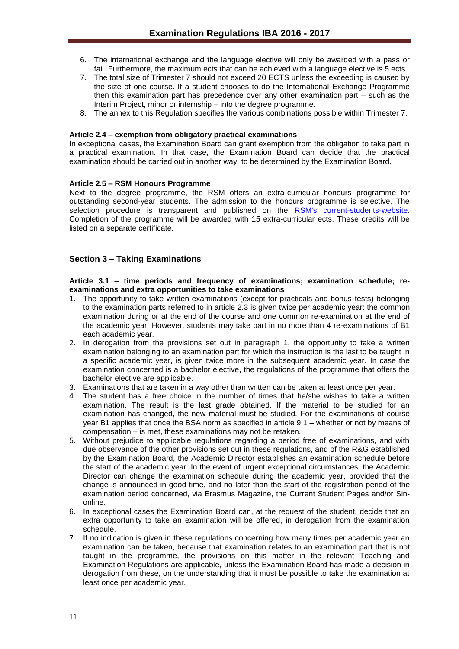- 6. The international exchange and the language elective will only be awarded with a pass or fail. Furthermore, the maximum ects that can be achieved with a language elective is 5 ects.
- 7. The total size of Trimester 7 should not exceed 20 ECTS unless the exceeding is caused by the size of one course. If a student chooses to do the International Exchange Programme then this examination part has precedence over any other examination part – such as the Interim Project, minor or internship – into the degree programme.
- 8. The annex to this Regulation specifies the various combinations possible within Trimester 7.

#### <span id="page-10-0"></span>**Article 2.4 – exemption from obligatory practical examinations**

In exceptional cases, the Examination Board can grant exemption from the obligation to take part in a practical examination. In that case, the Examination Board can decide that the practical examination should be carried out in another way, to be determined by the Examination Board.

#### **Article 2.5 – RSM Honours Programme**

Next to the degree programme, the RSM offers an extra-curricular honours programme for outstanding second-year students. The admission to the honours programme is selective. The selection procedure is transparent and published on the [RSM's current-students-website.](http://www.rsm.nl/bachelor/current-students/current-bachelor-iba-students/bachelor-2/rsm-honours-programme/) Completion of the programme will be awarded with 15 extra-curricular ects. These credits will be listed on a separate certificate.

#### <span id="page-10-1"></span>**Section 3 – Taking Examinations**

#### <span id="page-10-2"></span>**Article 3.1 – time periods and frequency of examinations; examination schedule; reexaminations and extra opportunities to take examinations**

- 1. The opportunity to take written examinations (except for practicals and bonus tests) belonging to the examination parts referred to in article 2.3 is given twice per academic year: the common examination during or at the end of the course and one common re-examination at the end of the academic year. However, students may take part in no more than 4 re-examinations of B1 each academic year.
- 2. In derogation from the provisions set out in paragraph 1, the opportunity to take a written examination belonging to an examination part for which the instruction is the last to be taught in a specific academic year, is given twice more in the subsequent academic year. In case the examination concerned is a bachelor elective, the regulations of the programme that offers the bachelor elective are applicable.
- 3. Examinations that are taken in a way other than written can be taken at least once per year.
- 4. The student has a free choice in the number of times that he/she wishes to take a written examination. The result is the last grade obtained. If the material to be studied for an examination has changed, the new material must be studied. For the examinations of course year B1 applies that once the BSA norm as specified in article 9.1 – whether or not by means of compensation – is met, these examinations may not be retaken.
- 5. Without prejudice to applicable regulations regarding a period free of examinations, and with due observance of the other provisions set out in these regulations, and of the R&G established by the Examination Board, the Academic Director establishes an examination schedule before the start of the academic year. In the event of urgent exceptional circumstances, the Academic Director can change the examination schedule during the academic year, provided that the change is announced in good time, and no later than the start of the registration period of the examination period concerned, via Erasmus Magazine, the Current Student Pages and/or Sinonline.
- 6. In exceptional cases the Examination Board can, at the request of the student, decide that an extra opportunity to take an examination will be offered, in derogation from the examination schedule.
- 7. If no indication is given in these regulations concerning how many times per academic year an examination can be taken, because that examination relates to an examination part that is not taught in the programme, the provisions on this matter in the relevant Teaching and Examination Regulations are applicable, unless the Examination Board has made a decision in derogation from these, on the understanding that it must be possible to take the examination at least once per academic year.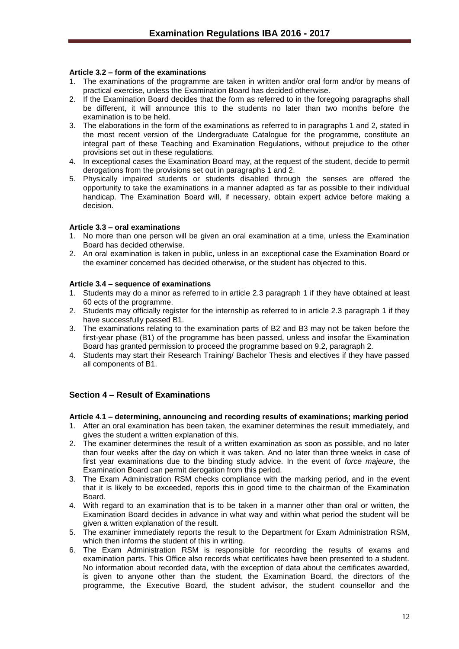#### <span id="page-11-0"></span>**Article 3.2 – form of the examinations**

- 1. The examinations of the programme are taken in written and/or oral form and/or by means of practical exercise, unless the Examination Board has decided otherwise.
- 2. If the Examination Board decides that the form as referred to in the foregoing paragraphs shall be different, it will announce this to the students no later than two months before the examination is to be held.
- 3. The elaborations in the form of the examinations as referred to in paragraphs 1 and 2, stated in the most recent version of the Undergraduate Catalogue for the programme, constitute an integral part of these Teaching and Examination Regulations, without prejudice to the other provisions set out in these regulations.
- 4. In exceptional cases the Examination Board may, at the request of the student, decide to permit derogations from the provisions set out in paragraphs 1 and 2.
- 5. Physically impaired students or students disabled through the senses are offered the opportunity to take the examinations in a manner adapted as far as possible to their individual handicap. The Examination Board will, if necessary, obtain expert advice before making a decision.

#### <span id="page-11-1"></span>**Article 3.3 – oral examinations**

- 1. No more than one person will be given an oral examination at a time, unless the Examination Board has decided otherwise.
- 2. An oral examination is taken in public, unless in an exceptional case the Examination Board or the examiner concerned has decided otherwise, or the student has objected to this.

#### <span id="page-11-2"></span>**Article 3.4 – sequence of examinations**

- 1. Students may do a minor as referred to in article 2.3 paragraph 1 if they have obtained at least 60 ects of the programme.
- 2. Students may officially register for the internship as referred to in article 2.3 paragraph 1 if they have successfully passed B1.
- 3. The examinations relating to the examination parts of B2 and B3 may not be taken before the first-year phase (B1) of the programme has been passed, unless and insofar the Examination Board has granted permission to proceed the programme based on 9.2, paragraph 2.
- 4. Students may start their Research Training/ Bachelor Thesis and electives if they have passed all components of B1.

#### <span id="page-11-3"></span>**Section 4 – Result of Examinations**

#### <span id="page-11-4"></span>**Article 4.1 – determining, announcing and recording results of examinations; marking period**

- 1. After an oral examination has been taken, the examiner determines the result immediately, and gives the student a written explanation of this.
- 2. The examiner determines the result of a written examination as soon as possible, and no later than four weeks after the day on which it was taken. And no later than three weeks in case of first year examinations due to the binding study advice. In the event of *force majeure*, the Examination Board can permit derogation from this period.
- 3. The Exam Administration RSM checks compliance with the marking period, and in the event that it is likely to be exceeded, reports this in good time to the chairman of the Examination Board.
- 4. With regard to an examination that is to be taken in a manner other than oral or written, the Examination Board decides in advance in what way and within what period the student will be given a written explanation of the result.
- 5. The examiner immediately reports the result to the Department for Exam Administration RSM, which then informs the student of this in writing.
- 6. The Exam Administration RSM is responsible for recording the results of exams and examination parts. This Office also records what certificates have been presented to a student. No information about recorded data, with the exception of data about the certificates awarded, is given to anyone other than the student, the Examination Board, the directors of the programme, the Executive Board, the student advisor, the student counsellor and the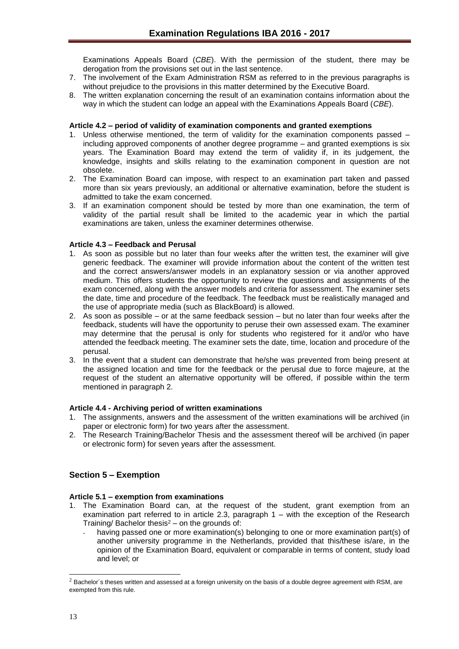Examinations Appeals Board (*CBE*). With the permission of the student, there may be derogation from the provisions set out in the last sentence.

- 7. The involvement of the Exam Administration RSM as referred to in the previous paragraphs is without prejudice to the provisions in this matter determined by the Executive Board.
- 8. The written explanation concerning the result of an examination contains information about the way in which the student can lodge an appeal with the Examinations Appeals Board (*CBE*).

#### <span id="page-12-0"></span>**Article 4.2 – period of validity of examination components and granted exemptions**

- 1. Unless otherwise mentioned, the term of validity for the examination components passed including approved components of another degree programme – and granted exemptions is six years. The Examination Board may extend the term of validity if, in its judgement, the knowledge, insights and skills relating to the examination component in question are not obsolete.
- 2. The Examination Board can impose, with respect to an examination part taken and passed more than six years previously, an additional or alternative examination, before the student is admitted to take the exam concerned.
- 3. If an examination component should be tested by more than one examination, the term of validity of the partial result shall be limited to the academic year in which the partial examinations are taken, unless the examiner determines otherwise.

#### <span id="page-12-1"></span>**Article 4.3 – Feedback and Perusal**

- 1. As soon as possible but no later than four weeks after the written test, the examiner will give generic feedback. The examiner will provide information about the content of the written test and the correct answers/answer models in an explanatory session or via another approved medium. This offers students the opportunity to review the questions and assignments of the exam concerned, along with the answer models and criteria for assessment. The examiner sets the date, time and procedure of the feedback. The feedback must be realistically managed and the use of appropriate media (such as BlackBoard) is allowed.
- 2. As soon as possible or at the same feedback session but no later than four weeks after the feedback, students will have the opportunity to peruse their own assessed exam. The examiner may determine that the perusal is only for students who registered for it and/or who have attended the feedback meeting. The examiner sets the date, time, location and procedure of the perusal.
- 3. In the event that a student can demonstrate that he/she was prevented from being present at the assigned location and time for the feedback or the perusal due to force majeure, at the request of the student an alternative opportunity will be offered, if possible within the term mentioned in paragraph 2.

#### <span id="page-12-2"></span>**Article 4.4 - Archiving period of written examinations**

- 1. The assignments, answers and the assessment of the written examinations will be archived (in paper or electronic form) for two years after the assessment.
- 2. The Research Training/Bachelor Thesis and the assessment thereof will be archived (in paper or electronic form) for seven years after the assessment.

#### <span id="page-12-3"></span>**Section 5 – Exemption**

#### <span id="page-12-4"></span>**Article 5.1 – exemption from examinations**

- 1. The Examination Board can, at the request of the student, grant exemption from an examination part referred to in article 2.3, paragraph 1 – with the exception of the Research Training/Bachelor thesis $2$  – on the grounds of:
	- having passed one or more examination(s) belonging to one or more examination part(s) of another university programme in the Netherlands, provided that this/these is/are, in the opinion of the Examination Board, equivalent or comparable in terms of content, study load and level; or

l

 $<sup>2</sup>$  Bachelor´s theses written and assessed at a foreign university on the basis of a double degree agreement with RSM, are</sup> exempted from this rule.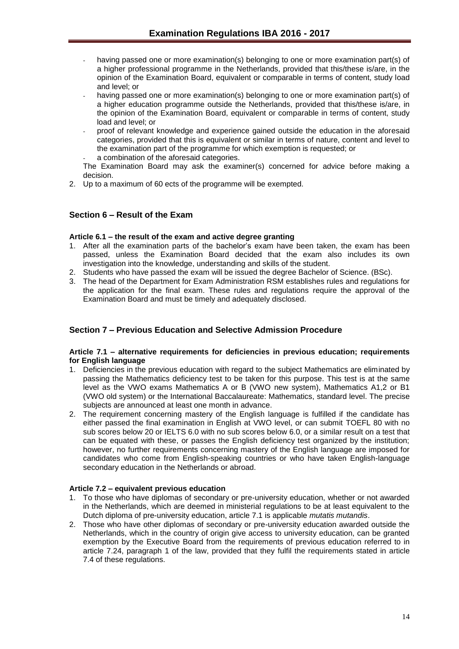- having passed one or more examination(s) belonging to one or more examination part(s) of a higher professional programme in the Netherlands, provided that this/these is/are, in the opinion of the Examination Board, equivalent or comparable in terms of content, study load and level; or
- having passed one or more examination(s) belonging to one or more examination part(s) of a higher education programme outside the Netherlands, provided that this/these is/are, in the opinion of the Examination Board, equivalent or comparable in terms of content, study load and level; or
- proof of relevant knowledge and experience gained outside the education in the aforesaid categories, provided that this is equivalent or similar in terms of nature, content and level to the examination part of the programme for which exemption is requested; or
- a combination of the aforesaid categories.

The Examination Board may ask the examiner(s) concerned for advice before making a decision.

2. Up to a maximum of 60 ects of the programme will be exempted.

#### <span id="page-13-0"></span>**Section 6 – Result of the Exam**

#### <span id="page-13-1"></span>**Article 6.1 – the result of the exam and active degree granting**

- 1. After all the examination parts of the bachelor's exam have been taken, the exam has been passed, unless the Examination Board decided that the exam also includes its own investigation into the knowledge, understanding and skills of the student.
- 2. Students who have passed the exam will be issued the degree Bachelor of Science. (BSc).
- 3. The head of the Department for Exam Administration RSM establishes rules and regulations for the application for the final exam. These rules and regulations require the approval of the Examination Board and must be timely and adequately disclosed.

## <span id="page-13-2"></span>**Section 7 – Previous Education and Selective Admission Procedure**

#### <span id="page-13-3"></span>**Article 7.1 – alternative requirements for deficiencies in previous education; requirements for English language**

- 1. Deficiencies in the previous education with regard to the subject Mathematics are eliminated by passing the Mathematics deficiency test to be taken for this purpose. This test is at the same level as the VWO exams Mathematics A or B (VWO new system), Mathematics A1,2 or B1 (VWO old system) or the International Baccalaureate: Mathematics, standard level. The precise subjects are announced at least one month in advance.
- 2. The requirement concerning mastery of the English language is fulfilled if the candidate has either passed the final examination in English at VWO level, or can submit TOEFL 80 with no sub scores below 20 or IELTS 6.0 with no sub scores below 6.0, or a similar result on a test that can be equated with these, or passes the English deficiency test organized by the institution; however, no further requirements concerning mastery of the English language are imposed for candidates who come from English-speaking countries or who have taken English-language secondary education in the Netherlands or abroad.

#### <span id="page-13-4"></span>**Article 7.2 – equivalent previous education**

- 1. To those who have diplomas of secondary or pre-university education, whether or not awarded in the Netherlands, which are deemed in ministerial regulations to be at least equivalent to the Dutch diploma of pre-university education, article 7.1 is applicable *mutatis mutandis*.
- 2. Those who have other diplomas of secondary or pre-university education awarded outside the Netherlands, which in the country of origin give access to university education, can be granted exemption by the Executive Board from the requirements of previous education referred to in article 7.24, paragraph 1 of the law, provided that they fulfil the requirements stated in article 7.4 of these regulations.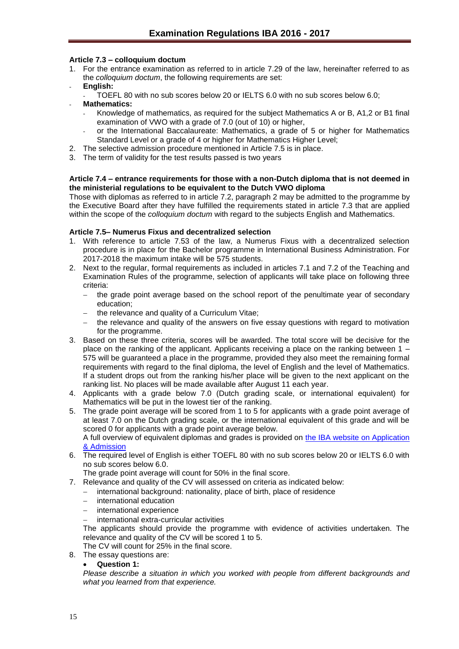#### <span id="page-14-0"></span>**Article 7.3 – colloquium doctum**

- 1. For the entrance examination as referred to in article 7.29 of the law, hereinafter referred to as the *colloquium doctum*, the following requirements are set:
- **English:**
	- TOEFL 80 with no sub scores below 20 or IELTS 6.0 with no sub scores below 6.0;
- **Mathematics:**
	- Knowledge of mathematics, as required for the subject Mathematics A or B, A1,2 or B1 final examination of VWO with a grade of 7.0 (out of 10) or higher,
	- or the International Baccalaureate: Mathematics, a grade of 5 or higher for Mathematics Standard Level or a grade of 4 or higher for Mathematics Higher Level;
- 2. The selective admission procedure mentioned in Article 7.5 is in place.
- 3. The term of validity for the test results passed is two years

#### <span id="page-14-1"></span>**Article 7.4 – entrance requirements for those with a non-Dutch diploma that is not deemed in the ministerial regulations to be equivalent to the Dutch VWO diploma**

Those with diplomas as referred to in article 7.2, paragraph 2 may be admitted to the programme by the Executive Board after they have fulfilled the requirements stated in article 7.3 that are applied within the scope of the *colloquium doctum* with regard to the subjects English and Mathematics.

#### **Article 7.5– Numerus Fixus and decentralized selection**

- 1. With reference to article 7.53 of the law, a Numerus Fixus with a decentralized selection procedure is in place for the Bachelor programme in International Business Administration. For 2017-2018 the maximum intake will be 575 students.
- 2. Next to the regular, formal requirements as included in articles 7.1 and 7.2 of the Teaching and Examination Rules of the programme, selection of applicants will take place on following three criteria:
	- the grade point average based on the school report of the penultimate year of secondary education;
	- $-$  the relevance and quality of a Curriculum Vitae;
	- $-$  the relevance and quality of the answers on five essay questions with regard to motivation for the programme.
- 3. Based on these three criteria, scores will be awarded. The total score will be decisive for the place on the ranking of the applicant. Applicants receiving a place on the ranking between 1 – 575 will be guaranteed a place in the programme, provided they also meet the remaining formal requirements with regard to the final diploma, the level of English and the level of Mathematics. If a student drops out from the ranking his/her place will be given to the next applicant on the ranking list. No places will be made available after August 11 each year.
- 4. Applicants with a grade below 7.0 (Dutch grading scale, or international equivalent) for Mathematics will be put in the lowest tier of the ranking.
- 5. The grade point average will be scored from 1 to 5 for applicants with a grade point average of at least 7.0 on the Dutch grading scale, or the international equivalent of this grade and will be scored 0 for applicants with a grade point average below.

A full overview of equivalent diplomas and grades is provided on [the IBA website on Application](http://www.rsm.nl/bachelor/international-business-administration/admission-application/selection-criteria-per-diploma/)  [& Admission](http://www.rsm.nl/bachelor/international-business-administration/admission-application/selection-criteria-per-diploma/)

6. The required level of English is either TOEFL 80 with no sub scores below 20 or IELTS 6.0 with no sub scores below 6.0.

The grade point average will count for 50% in the final score.

- 7. Relevance and quality of the CV will assessed on criteria as indicated below:
	- international background: nationality, place of birth, place of residence
	- international education
	- $-$  international experience
	- international extra-curricular activities

The applicants should provide the programme with evidence of activities undertaken. The relevance and quality of the CV will be scored 1 to 5.

The CV will count for 25% in the final score.

8. The essay questions are:

#### **Question 1:**

*Please describe a situation in which you worked with people from different backgrounds and what you learned from that experience.*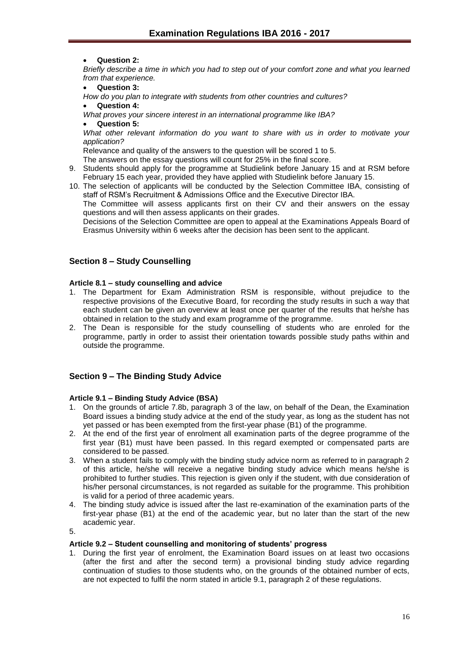**Question 2:**

*Briefly describe a time in which you had to step out of your comfort zone and what you learned from that experience.*

**Question 3:** 

*How do you plan to integrate with students from other countries and cultures?*

**Question 4:**

*What proves your sincere interest in an international programme like IBA?*

**Question 5:**

*What other relevant information do you want to share with us in order to motivate your application?*

Relevance and quality of the answers to the question will be scored 1 to 5.

The answers on the essay questions will count for 25% in the final score.

- 9. Students should apply for the programme at Studielink before January 15 and at RSM before February 15 each year, provided they have applied with Studielink before January 15.
- 10. The selection of applicants will be conducted by the Selection Committee IBA, consisting of staff of RSM's Recruitment & Admissions Office and the Executive Director IBA.

The Committee will assess applicants first on their CV and their answers on the essay questions and will then assess applicants on their grades.

Decisions of the Selection Committee are open to appeal at the Examinations Appeals Board of Erasmus University within 6 weeks after the decision has been sent to the applicant.

### <span id="page-15-0"></span>**Section 8 – Study Counselling**

#### <span id="page-15-1"></span>**Article 8.1 – study counselling and advice**

- 1. The Department for Exam Administration RSM is responsible, without prejudice to the respective provisions of the Executive Board, for recording the study results in such a way that each student can be given an overview at least once per quarter of the results that he/she has obtained in relation to the study and exam programme of the programme.
- 2. The Dean is responsible for the study counselling of students who are enroled for the programme, partly in order to assist their orientation towards possible study paths within and outside the programme.

#### <span id="page-15-2"></span>**Section 9 – The Binding Study Advice**

#### <span id="page-15-3"></span>**Article 9.1 – Binding Study Advice (BSA)**

- 1. On the grounds of article 7.8b, paragraph 3 of the law, on behalf of the Dean, the Examination Board issues a binding study advice at the end of the study year, as long as the student has not yet passed or has been exempted from the first-year phase (B1) of the programme.
- 2. At the end of the first year of enrolment all examination parts of the degree programme of the first year (B1) must have been passed. In this regard exempted or compensated parts are considered to be passed.
- 3. When a student fails to comply with the binding study advice norm as referred to in paragraph 2 of this article, he/she will receive a negative binding study advice which means he/she is prohibited to further studies. This rejection is given only if the student, with due consideration of his/her personal circumstances, is not regarded as suitable for the programme. This prohibition is valid for a period of three academic years.
- 4. The binding study advice is issued after the last re-examination of the examination parts of the first-year phase (B1) at the end of the academic year, but no later than the start of the new academic year.

5.

#### <span id="page-15-4"></span>**Article 9.2 – Student counselling and monitoring of students' progress**

1. During the first year of enrolment, the Examination Board issues on at least two occasions (after the first and after the second term) a provisional binding study advice regarding continuation of studies to those students who, on the grounds of the obtained number of ects, are not expected to fulfil the norm stated in article 9.1, paragraph 2 of these regulations.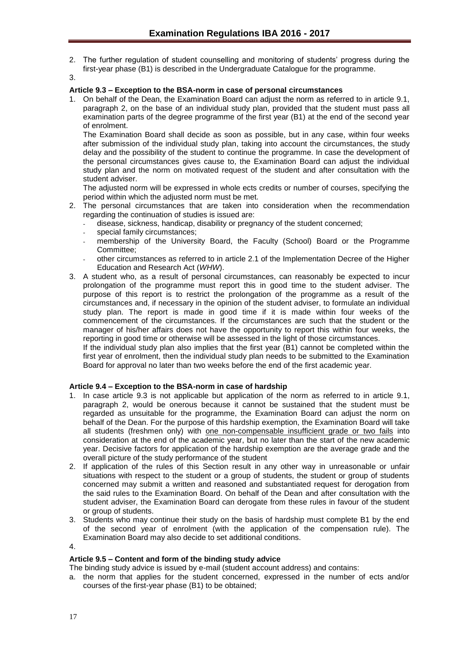- 2. The further regulation of student counselling and monitoring of students' progress during the first-year phase (B1) is described in the Undergraduate Catalogue for the programme.
- 3.

#### <span id="page-16-0"></span>**Article 9.3 – Exception to the BSA-norm in case of personal circumstances**

1. On behalf of the Dean, the Examination Board can adjust the norm as referred to in article 9.1, paragraph 2, on the base of an individual study plan, provided that the student must pass all examination parts of the degree programme of the first year (B1) at the end of the second year of enrolment.

The Examination Board shall decide as soon as possible, but in any case, within four weeks after submission of the individual study plan, taking into account the circumstances, the study delay and the possibility of the student to continue the programme. In case the development of the personal circumstances gives cause to, the Examination Board can adjust the individual study plan and the norm on motivated request of the student and after consultation with the student adviser.

The adjusted norm will be expressed in whole ects credits or number of courses, specifying the period within which the adjusted norm must be met.

- 2. The personal circumstances that are taken into consideration when the recommendation regarding the continuation of studies is issued are:
	- disease, sickness, handicap, disability or pregnancy of the student concerned;
	- special family circumstances;
	- membership of the University Board, the Faculty (School) Board or the Programme Committee;
	- other circumstances as referred to in article 2.1 of the Implementation Decree of the Higher Education and Research Act (*WHW*).
- 3. A student who, as a result of personal circumstances, can reasonably be expected to incur prolongation of the programme must report this in good time to the student adviser. The purpose of this report is to restrict the prolongation of the programme as a result of the circumstances and, if necessary in the opinion of the student adviser, to formulate an individual study plan. The report is made in good time if it is made within four weeks of the commencement of the circumstances. If the circumstances are such that the student or the manager of his/her affairs does not have the opportunity to report this within four weeks, the reporting in good time or otherwise will be assessed in the light of those circumstances.

If the individual study plan also implies that the first year (B1) cannot be completed within the first year of enrolment, then the individual study plan needs to be submitted to the Examination Board for approval no later than two weeks before the end of the first academic year.

#### <span id="page-16-1"></span>**Article 9.4 – Exception to the BSA-norm in case of hardship**

- 1. In case article 9.3 is not applicable but application of the norm as referred to in article 9.1, paragraph 2, would be onerous because it cannot be sustained that the student must be regarded as unsuitable for the programme, the Examination Board can adjust the norm on behalf of the Dean. For the purpose of this hardship exemption, the Examination Board will take all students (freshmen only) with one non-compensable insufficient grade or two fails into consideration at the end of the academic year, but no later than the start of the new academic year. Decisive factors for application of the hardship exemption are the average grade and the overall picture of the study performance of the student
- 2. If application of the rules of this Section result in any other way in unreasonable or unfair situations with respect to the student or a group of students, the student or group of students concerned may submit a written and reasoned and substantiated request for derogation from the said rules to the Examination Board. On behalf of the Dean and after consultation with the student adviser, the Examination Board can derogate from these rules in favour of the student or group of students.
- 3. Students who may continue their study on the basis of hardship must complete B1 by the end of the second year of enrolment (with the application of the compensation rule). The Examination Board may also decide to set additional conditions.
- 4.

#### <span id="page-16-2"></span>**Article 9.5 – Content and form of the binding study advice**

The binding study advice is issued by e-mail (student account address) and contains:

a. the norm that applies for the student concerned, expressed in the number of ects and/or courses of the first-year phase (B1) to be obtained;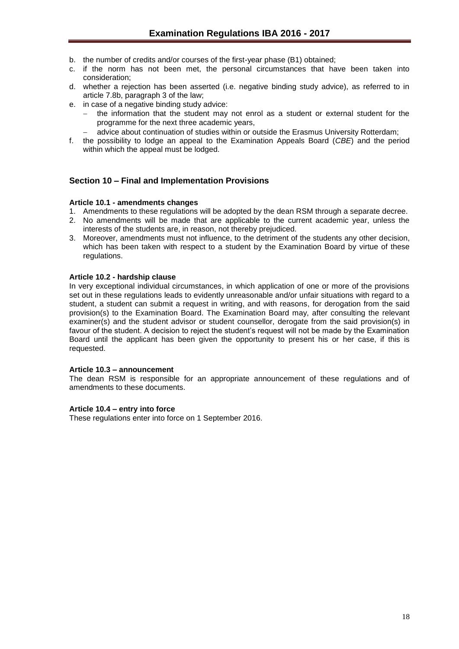- b. the number of credits and/or courses of the first-year phase (B1) obtained;
- c. if the norm has not been met, the personal circumstances that have been taken into consideration;
- d. whether a rejection has been asserted (i.e. negative binding study advice), as referred to in article 7.8b, paragraph 3 of the law;
- e. in case of a negative binding study advice:
	- the information that the student may not enrol as a student or external student for the programme for the next three academic years,
	- advice about continuation of studies within or outside the Erasmus University Rotterdam;
- f. the possibility to lodge an appeal to the Examination Appeals Board (*CBE*) and the period within which the appeal must be lodged.

#### <span id="page-17-0"></span>**Section 10 – Final and Implementation Provisions**

#### <span id="page-17-1"></span>**Article 10.1 - amendments changes**

- 1. Amendments to these regulations will be adopted by the dean RSM through a separate decree.
- 2. No amendments will be made that are applicable to the current academic year, unless the interests of the students are, in reason, not thereby prejudiced.
- 3. Moreover, amendments must not influence, to the detriment of the students any other decision, which has been taken with respect to a student by the Examination Board by virtue of these regulations.

#### <span id="page-17-2"></span>**Article 10.2 - hardship clause**

In very exceptional individual circumstances, in which application of one or more of the provisions set out in these regulations leads to evidently unreasonable and/or unfair situations with regard to a student, a student can submit a request in writing, and with reasons, for derogation from the said provision(s) to the Examination Board. The Examination Board may, after consulting the relevant examiner(s) and the student advisor or student counsellor, derogate from the said provision(s) in favour of the student. A decision to reject the student's request will not be made by the Examination Board until the applicant has been given the opportunity to present his or her case, if this is requested.

#### <span id="page-17-3"></span>**Article 10.3 – announcement**

The dean RSM is responsible for an appropriate announcement of these regulations and of amendments to these documents.

#### <span id="page-17-4"></span>**Article 10.4 – entry into force**

These regulations enter into force on 1 September 2016.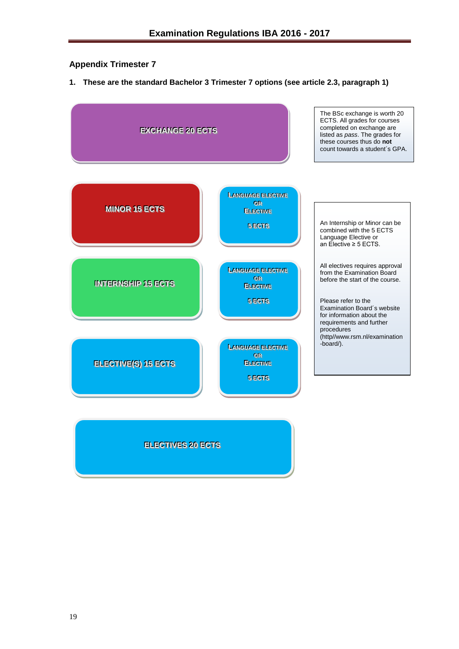## <span id="page-18-0"></span>**Appendix Trimester 7**

**1. These are the standard Bachelor 3 Trimester 7 options (see article 2.3, paragraph 1)**



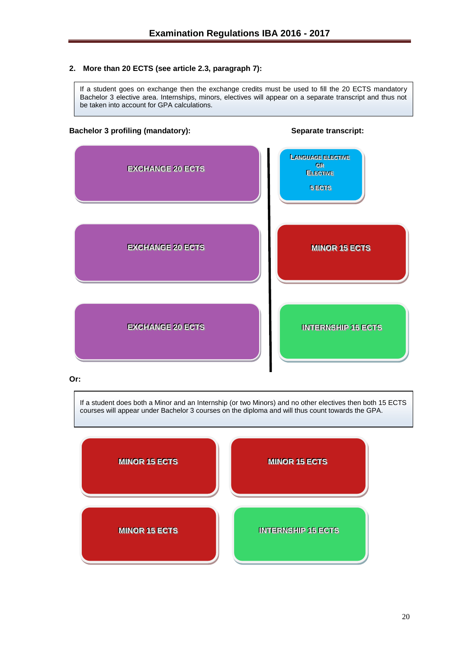#### **2. More than 20 ECTS (see article 2.3, paragraph 7):**

If a student goes on exchange then the exchange credits must be used to fill the 20 ECTS mandatory Bachelor 3 elective area. Internships, minors, electives will appear on a separate transcript and thus not be taken into account for GPA calculations.

#### **Bachelor 3 profiling (mandatory): Separate transcript:**



#### **Or:**

If a student does both a Minor and an Internship (or two Minors) and no other electives then both 15 ECTS courses will appear under Bachelor 3 courses on the diploma and will thus count towards the GPA.

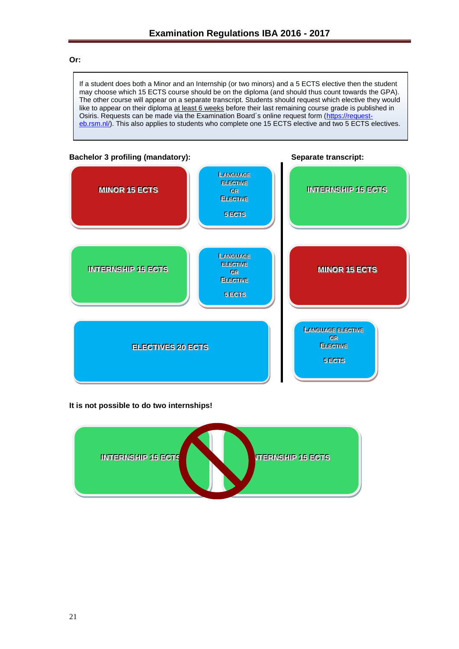#### **Or:**

If a student does both a Minor and an Internship (or two minors) and a 5 ECTS elective then the student may choose which 15 ECTS course should be on the diploma (and should thus count towards the GPA). The other course will appear on a separate transcript. Students should request which elective they would like to appear on their diploma at least 6 weeks before their last remaining course grade is published in Osiris. Requests can be made via the Examination Board's online request form [\(https://request](https://request-eb.rsm.nl/)[eb.rsm.nl/\)](https://request-eb.rsm.nl/). This also applies to students who complete one 15 ECTS elective and two 5 ECTS electives.



#### **It is not possible to do two internships!**

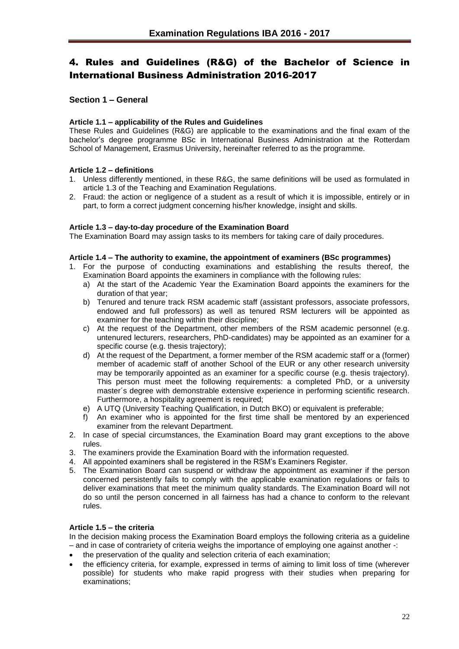## <span id="page-21-0"></span>4. Rules and Guidelines (R&G) of the Bachelor of Science in International Business Administration 2016-2017

#### <span id="page-21-1"></span>**Section 1 – General**

#### <span id="page-21-2"></span>**Article 1.1 – applicability of the Rules and Guidelines**

These Rules and Guidelines (R&G) are applicable to the examinations and the final exam of the bachelor's degree programme BSc in International Business Administration at the Rotterdam School of Management, Erasmus University, hereinafter referred to as the programme.

#### <span id="page-21-3"></span>**Article 1.2 – definitions**

- 1. Unless differently mentioned, in these R&G, the same definitions will be used as formulated in article 1.3 of the Teaching and Examination Regulations.
- 2. Fraud: the action or negligence of a student as a result of which it is impossible, entirely or in part, to form a correct judgment concerning his/her knowledge, insight and skills.

#### <span id="page-21-4"></span>**Article 1.3 – day-to-day procedure of the Examination Board**

The Examination Board may assign tasks to its members for taking care of daily procedures.

#### <span id="page-21-5"></span>**Article 1.4 – The authority to examine, the appointment of examiners (BSc programmes)**

- 1. For the purpose of conducting examinations and establishing the results thereof, the Examination Board appoints the examiners in compliance with the following rules:
	- a) At the start of the Academic Year the Examination Board appoints the examiners for the duration of that year;
	- b) Tenured and tenure track RSM academic staff (assistant professors, associate professors, endowed and full professors) as well as tenured RSM lecturers will be appointed as examiner for the teaching within their discipline;
	- c) At the request of the Department, other members of the RSM academic personnel (e.g. untenured lecturers, researchers, PhD-candidates) may be appointed as an examiner for a specific course (e.g. thesis trajectory);
	- d) At the request of the Department, a former member of the RSM academic staff or a (former) member of academic staff of another School of the EUR or any other research university may be temporarily appointed as an examiner for a specific course (e.g. thesis trajectory). This person must meet the following requirements: a completed PhD, or a university master´s degree with demonstrable extensive experience in performing scientific research. Furthermore, a hospitality agreement is required;
	- e) A UTQ (University Teaching Qualification, in Dutch BKO) or equivalent is preferable;
	- f) An examiner who is appointed for the first time shall be mentored by an experienced examiner from the relevant Department.
- 2. In case of special circumstances, the Examination Board may grant exceptions to the above rules.
- 3. The examiners provide the Examination Board with the information requested.
- 4. All appointed examiners shall be registered in the RSM's Examiners Register.
- 5. The Examination Board can suspend or withdraw the appointment as examiner if the person concerned persistently fails to comply with the applicable examination regulations or fails to deliver examinations that meet the minimum quality standards. The Examination Board will not do so until the person concerned in all fairness has had a chance to conform to the relevant rules.

#### <span id="page-21-6"></span>**Article 1.5 – the criteria**

In the decision making process the Examination Board employs the following criteria as a guideline – and in case of contrariety of criteria weighs the importance of employing one against another -:

- the preservation of the quality and selection criteria of each examination;
- the efficiency criteria, for example, expressed in terms of aiming to limit loss of time (wherever possible) for students who make rapid progress with their studies when preparing for examinations;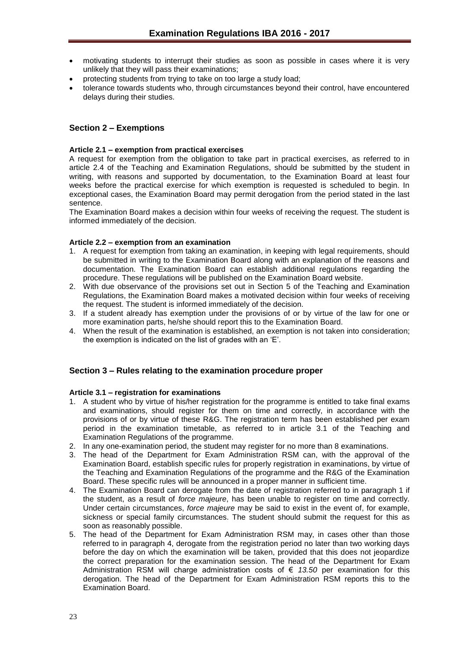- motivating students to interrupt their studies as soon as possible in cases where it is very unlikely that they will pass their examinations;
- protecting students from trying to take on too large a study load;
- tolerance towards students who, through circumstances beyond their control, have encountered delays during their studies.

#### <span id="page-22-0"></span>**Section 2 – Exemptions**

#### <span id="page-22-1"></span>**Article 2.1 – exemption from practical exercises**

A request for exemption from the obligation to take part in practical exercises, as referred to in article 2.4 of the Teaching and Examination Regulations, should be submitted by the student in writing, with reasons and supported by documentation, to the Examination Board at least four weeks before the practical exercise for which exemption is requested is scheduled to begin. In exceptional cases, the Examination Board may permit derogation from the period stated in the last sentence.

The Examination Board makes a decision within four weeks of receiving the request. The student is informed immediately of the decision.

#### <span id="page-22-2"></span>**Article 2.2 – exemption from an examination**

- 1. A request for exemption from taking an examination, in keeping with legal requirements, should be submitted in writing to the Examination Board along with an explanation of the reasons and documentation. The Examination Board can establish additional regulations regarding the procedure. These regulations will be published on the Examination Board website.
- 2. With due observance of the provisions set out in Section 5 of the Teaching and Examination Regulations, the Examination Board makes a motivated decision within four weeks of receiving the request. The student is informed immediately of the decision.
- 3. If a student already has exemption under the provisions of or by virtue of the law for one or more examination parts, he/she should report this to the Examination Board.
- 4. When the result of the examination is established, an exemption is not taken into consideration; the exemption is indicated on the list of grades with an 'E'.

#### <span id="page-22-3"></span>**Section 3 – Rules relating to the examination procedure proper**

#### <span id="page-22-4"></span>**Article 3.1 – registration for examinations**

- 1. A student who by virtue of his/her registration for the programme is entitled to take final exams and examinations, should register for them on time and correctly, in accordance with the provisions of or by virtue of these R&G. The registration term has been established per exam period in the examination timetable, as referred to in article 3.1 of the Teaching and Examination Regulations of the programme.
- 2. In any one-examination period, the student may register for no more than 8 examinations.
- 3. The head of the Department for Exam Administration RSM can, with the approval of the Examination Board, establish specific rules for properly registration in examinations, by virtue of the Teaching and Examination Regulations of the programme and the R&G of the Examination Board. These specific rules will be announced in a proper manner in sufficient time.
- 4. The Examination Board can derogate from the date of registration referred to in paragraph 1 if the student, as a result of *force majeure*, has been unable to register on time and correctly. Under certain circumstances, *force majeure* may be said to exist in the event of, for example, sickness or special family circumstances. The student should submit the request for this as soon as reasonably possible.
- 5. The head of the Department for Exam Administration RSM may, in cases other than those referred to in paragraph 4, derogate from the registration period no later than two working days before the day on which the examination will be taken, provided that this does not jeopardize the correct preparation for the examination session. The head of the Department for Exam Administration RSM will charge administration costs of € *13.50* per examination for this derogation. The head of the Department for Exam Administration RSM reports this to the Examination Board.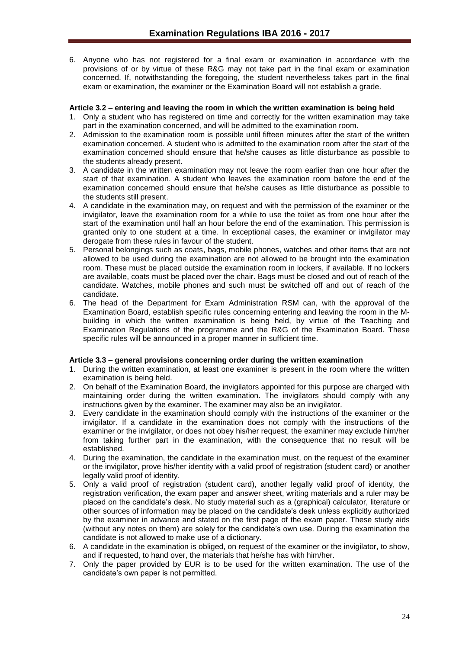6. Anyone who has not registered for a final exam or examination in accordance with the provisions of or by virtue of these R&G may not take part in the final exam or examination concerned. If, notwithstanding the foregoing, the student nevertheless takes part in the final exam or examination, the examiner or the Examination Board will not establish a grade.

#### <span id="page-23-0"></span>**Article 3.2 – entering and leaving the room in which the written examination is being held**

- 1. Only a student who has registered on time and correctly for the written examination may take part in the examination concerned, and will be admitted to the examination room.
- 2. Admission to the examination room is possible until fifteen minutes after the start of the written examination concerned. A student who is admitted to the examination room after the start of the examination concerned should ensure that he/she causes as little disturbance as possible to the students already present.
- 3. A candidate in the written examination may not leave the room earlier than one hour after the start of that examination. A student who leaves the examination room before the end of the examination concerned should ensure that he/she causes as little disturbance as possible to the students still present.
- 4. A candidate in the examination may, on request and with the permission of the examiner or the invigilator, leave the examination room for a while to use the toilet as from one hour after the start of the examination until half an hour before the end of the examination. This permission is granted only to one student at a time. In exceptional cases, the examiner or invigilator may derogate from these rules in favour of the student.
- 5. Personal belongings such as coats, bags, mobile phones, watches and other items that are not allowed to be used during the examination are not allowed to be brought into the examination room. These must be placed outside the examination room in lockers, if available. If no lockers are available, coats must be placed over the chair. Bags must be closed and out of reach of the candidate. Watches, mobile phones and such must be switched off and out of reach of the candidate.
- 6. The head of the Department for Exam Administration RSM can, with the approval of the Examination Board, establish specific rules concerning entering and leaving the room in the Mbuilding in which the written examination is being held, by virtue of the Teaching and Examination Regulations of the programme and the R&G of the Examination Board. These specific rules will be announced in a proper manner in sufficient time.

#### <span id="page-23-1"></span>**Article 3.3 – general provisions concerning order during the written examination**

- 1. During the written examination, at least one examiner is present in the room where the written examination is being held.
- 2. On behalf of the Examination Board, the invigilators appointed for this purpose are charged with maintaining order during the written examination. The invigilators should comply with any instructions given by the examiner. The examiner may also be an invigilator.
- 3. Every candidate in the examination should comply with the instructions of the examiner or the invigilator. If a candidate in the examination does not comply with the instructions of the examiner or the invigilator, or does not obey his/her request, the examiner may exclude him/her from taking further part in the examination, with the consequence that no result will be established.
- 4. During the examination, the candidate in the examination must, on the request of the examiner or the invigilator, prove his/her identity with a valid proof of registration (student card) or another legally valid proof of identity.
- 5. Only a valid proof of registration (student card), another legally valid proof of identity, the registration verification, the exam paper and answer sheet, writing materials and a ruler may be placed on the candidate's desk. No study material such as a (graphical) calculator, literature or other sources of information may be placed on the candidate's desk unless explicitly authorized by the examiner in advance and stated on the first page of the exam paper. These study aids (without any notes on them) are solely for the candidate's own use. During the examination the candidate is not allowed to make use of a dictionary.
- 6. A candidate in the examination is obliged, on request of the examiner or the invigilator, to show, and if requested, to hand over, the materials that he/she has with him/her.
- 7. Only the paper provided by EUR is to be used for the written examination. The use of the candidate's own paper is not permitted.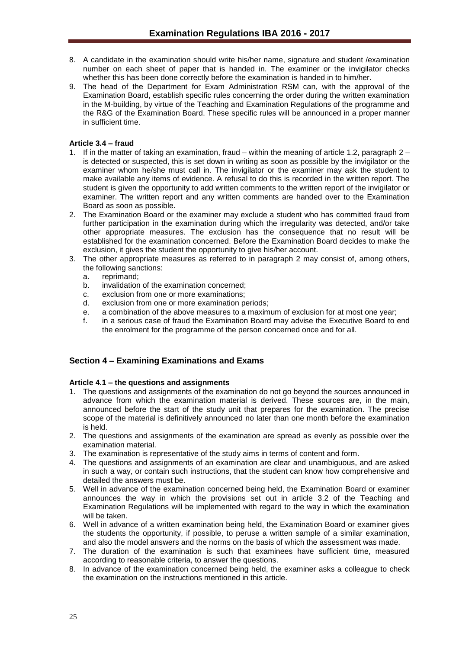- 8. A candidate in the examination should write his/her name, signature and student /examination number on each sheet of paper that is handed in. The examiner or the invigilator checks whether this has been done correctly before the examination is handed in to him/her.
- 9. The head of the Department for Exam Administration RSM can, with the approval of the Examination Board, establish specific rules concerning the order during the written examination in the M-building, by virtue of the Teaching and Examination Regulations of the programme and the R&G of the Examination Board. These specific rules will be announced in a proper manner in sufficient time.

#### <span id="page-24-0"></span>**Article 3.4 – fraud**

- 1. If in the matter of taking an examination, fraud within the meaning of article 1.2, paragraph 2 is detected or suspected, this is set down in writing as soon as possible by the invigilator or the examiner whom he/she must call in. The invigilator or the examiner may ask the student to make available any items of evidence. A refusal to do this is recorded in the written report. The student is given the opportunity to add written comments to the written report of the invigilator or examiner. The written report and any written comments are handed over to the Examination Board as soon as possible.
- 2. The Examination Board or the examiner may exclude a student who has committed fraud from further participation in the examination during which the irregularity was detected, and/or take other appropriate measures. The exclusion has the consequence that no result will be established for the examination concerned. Before the Examination Board decides to make the exclusion, it gives the student the opportunity to give his/her account.
- 3. The other appropriate measures as referred to in paragraph 2 may consist of, among others, the following sanctions:
	- a. reprimand;
	- b. invalidation of the examination concerned;
	- c. exclusion from one or more examinations;
	- d. exclusion from one or more examination periods;
	- e. a combination of the above measures to a maximum of exclusion for at most one year;
	- f. in a serious case of fraud the Examination Board may advise the Executive Board to end the enrolment for the programme of the person concerned once and for all.

#### <span id="page-24-1"></span>**Section 4 – Examining Examinations and Exams**

#### <span id="page-24-2"></span>**Article 4.1 – the questions and assignments**

- 1. The questions and assignments of the examination do not go beyond the sources announced in advance from which the examination material is derived. These sources are, in the main, announced before the start of the study unit that prepares for the examination. The precise scope of the material is definitively announced no later than one month before the examination is held.
- 2. The questions and assignments of the examination are spread as evenly as possible over the examination material.
- 3. The examination is representative of the study aims in terms of content and form.
- 4. The questions and assignments of an examination are clear and unambiguous, and are asked in such a way, or contain such instructions, that the student can know how comprehensive and detailed the answers must be.
- 5. Well in advance of the examination concerned being held, the Examination Board or examiner announces the way in which the provisions set out in article 3.2 of the Teaching and Examination Regulations will be implemented with regard to the way in which the examination will be taken.
- 6. Well in advance of a written examination being held, the Examination Board or examiner gives the students the opportunity, if possible, to peruse a written sample of a similar examination, and also the model answers and the norms on the basis of which the assessment was made.
- 7. The duration of the examination is such that examinees have sufficient time, measured according to reasonable criteria, to answer the questions.
- 8. In advance of the examination concerned being held, the examiner asks a colleague to check the examination on the instructions mentioned in this article.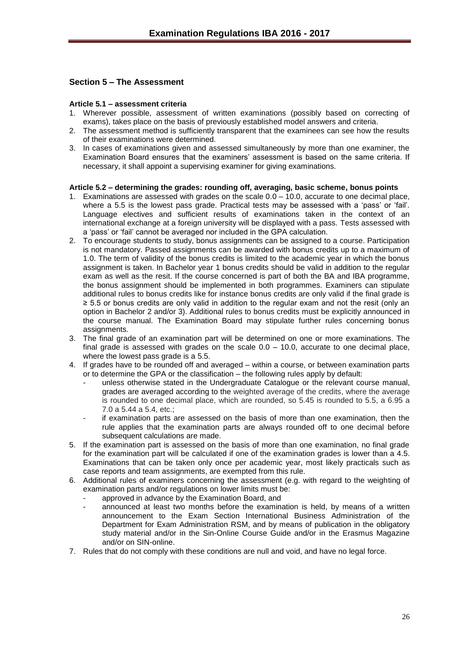#### <span id="page-25-0"></span>**Section 5 – The Assessment**

#### <span id="page-25-1"></span>**Article 5.1 – assessment criteria**

- 1. Wherever possible, assessment of written examinations (possibly based on correcting of exams), takes place on the basis of previously established model answers and criteria.
- 2. The assessment method is sufficiently transparent that the examinees can see how the results of their examinations were determined.
- 3. In cases of examinations given and assessed simultaneously by more than one examiner, the Examination Board ensures that the examiners' assessment is based on the same criteria. If necessary, it shall appoint a supervising examiner for giving examinations.

#### <span id="page-25-2"></span>**Article 5.2 – determining the grades: rounding off, averaging, basic scheme, bonus points**

- 1. Examinations are assessed with grades on the scale 0.0 10.0, accurate to one decimal place, where a 5.5 is the lowest pass grade. Practical tests may be assessed with a 'pass' or 'fail'. Language electives and sufficient results of examinations taken in the context of an international exchange at a foreign university will be displayed with a pass. Tests assessed with a 'pass' or 'fail' cannot be averaged nor included in the GPA calculation.
- 2. To encourage students to study, bonus assignments can be assigned to a course. Participation is not mandatory. Passed assignments can be awarded with bonus credits up to a maximum of 1.0. The term of validity of the bonus credits is limited to the academic year in which the bonus assignment is taken. In Bachelor year 1 bonus credits should be valid in addition to the regular exam as well as the resit. If the course concerned is part of both the BA and IBA programme, the bonus assignment should be implemented in both programmes. Examiners can stipulate additional rules to bonus credits like for instance bonus credits are only valid if the final grade is ≥ 5.5 or bonus credits are only valid in addition to the regular exam and not the resit (only an option in Bachelor 2 and/or 3). Additional rules to bonus credits must be explicitly announced in the course manual. The Examination Board may stipulate further rules concerning bonus assignments.
- 3. The final grade of an examination part will be determined on one or more examinations. The final grade is assessed with grades on the scale  $0.0 - 10.0$ , accurate to one decimal place, where the lowest pass grade is a 5.5.
- 4. If grades have to be rounded off and averaged within a course, or between examination parts or to determine the GPA or the classification – the following rules apply by default:
	- unless otherwise stated in the Undergraduate Catalogue or the relevant course manual, grades are averaged according to the weighted average of the credits, where the average is rounded to one decimal place, which are rounded, so 5.45 is rounded to 5.5, a 6.95 a 7.0 a 5.44 a 5.4, etc.;
	- if examination parts are assessed on the basis of more than one examination, then the rule applies that the examination parts are always rounded off to one decimal before subsequent calculations are made.
- 5. If the examination part is assessed on the basis of more than one examination, no final grade for the examination part will be calculated if one of the examination grades is lower than a 4.5. Examinations that can be taken only once per academic year, most likely practicals such as case reports and team assignments, are exempted from this rule.
- 6. Additional rules of examiners concerning the assessment (e.g. with regard to the weighting of examination parts and/or regulations on lower limits must be:
	- approved in advance by the Examination Board, and
	- announced at least two months before the examination is held, by means of a written announcement to the Exam Section International Business Administration of the Department for Exam Administration RSM, and by means of publication in the obligatory study material and/or in the Sin-Online Course Guide and/or in the Erasmus Magazine and/or on SIN-online.
- 7. Rules that do not comply with these conditions are null and void, and have no legal force.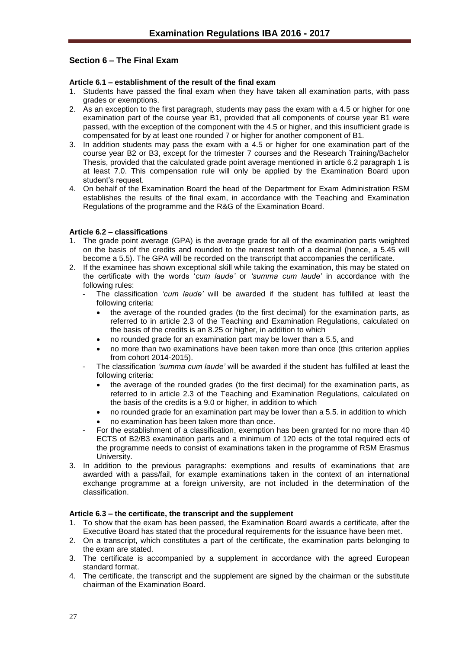#### <span id="page-26-0"></span>**Section 6 – The Final Exam**

#### <span id="page-26-1"></span>**Article 6.1 – establishment of the result of the final exam**

- 1. Students have passed the final exam when they have taken all examination parts, with pass grades or exemptions.
- 2. As an exception to the first paragraph, students may pass the exam with a 4.5 or higher for one examination part of the course year B1, provided that all components of course year B1 were passed, with the exception of the component with the 4.5 or higher, and this insufficient grade is compensated for by at least one rounded 7 or higher for another component of B1.
- 3. In addition students may pass the exam with a 4.5 or higher for one examination part of the course year B2 or B3, except for the trimester 7 courses and the Research Training/Bachelor Thesis, provided that the calculated grade point average mentioned in article 6.2 paragraph 1 is at least 7.0. This compensation rule will only be applied by the Examination Board upon student's request.
- 4. On behalf of the Examination Board the head of the Department for Exam Administration RSM establishes the results of the final exam, in accordance with the Teaching and Examination Regulations of the programme and the R&G of the Examination Board.

#### <span id="page-26-2"></span>**Article 6.2 – classifications**

- 1. The grade point average (GPA) is the average grade for all of the examination parts weighted on the basis of the credits and rounded to the nearest tenth of a decimal (hence, a 5.45 will become a 5.5). The GPA will be recorded on the transcript that accompanies the certificate.
- 2. If the examinee has shown exceptional skill while taking the examination, this may be stated on the certificate with the words '*cum laude'* or *'summa cum laude'* in accordance with the following rules:
	- The classification *'cum laude'* will be awarded if the student has fulfilled at least the following criteria:
		- the average of the rounded grades (to the first decimal) for the examination parts, as referred to in article 2.3 of the Teaching and Examination Regulations, calculated on the basis of the credits is an 8.25 or higher, in addition to which
		- no rounded grade for an examination part may be lower than a 5.5, and
		- no more than two examinations have been taken more than once (this criterion applies from cohort 2014-2015).
	- The classification *'summa cum laude'* will be awarded if the student has fulfilled at least the following criteria:
		- the average of the rounded grades (to the first decimal) for the examination parts, as referred to in article 2.3 of the Teaching and Examination Regulations, calculated on the basis of the credits is a 9.0 or higher, in addition to which
		- no rounded grade for an examination part may be lower than a 5.5. in addition to which
		- no examination has been taken more than once.
	- For the establishment of a classification, exemption has been granted for no more than 40 ECTS of B2/B3 examination parts and a minimum of 120 ects of the total required ects of the programme needs to consist of examinations taken in the programme of RSM Erasmus University.
- 3. In addition to the previous paragraphs: exemptions and results of examinations that are awarded with a pass/fail, for example examinations taken in the context of an international exchange programme at a foreign university, are not included in the determination of the classification.

#### <span id="page-26-3"></span>**Article 6.3 – the certificate, the transcript and the supplement**

- 1. To show that the exam has been passed, the Examination Board awards a certificate, after the Executive Board has stated that the procedural requirements for the issuance have been met.
- 2. On a transcript, which constitutes a part of the certificate, the examination parts belonging to the exam are stated.
- 3. The certificate is accompanied by a supplement in accordance with the agreed European standard format.
- 4. The certificate, the transcript and the supplement are signed by the chairman or the substitute chairman of the Examination Board.